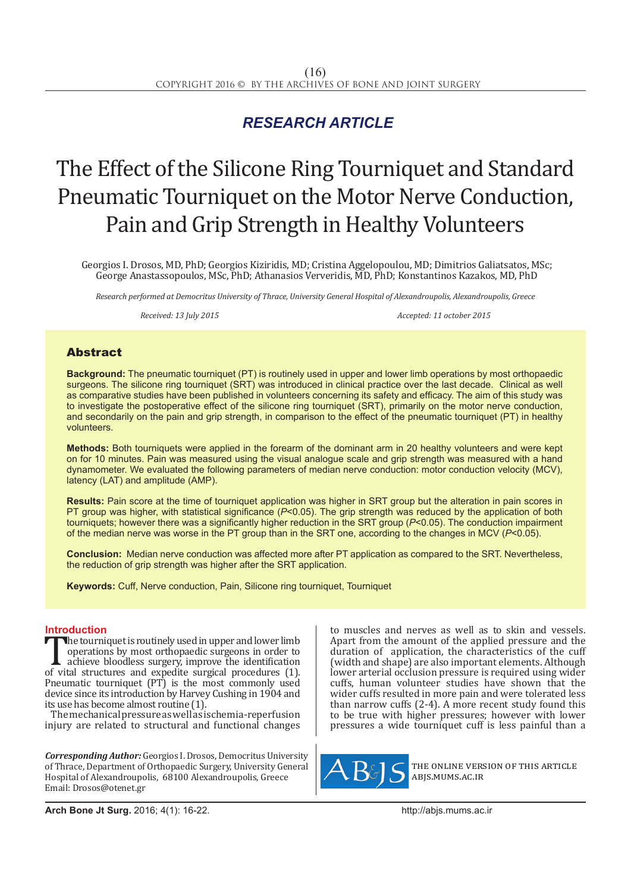# *RESEARCH ARTICLE*

# The Effect of the Silicone Ring Tourniquet and Standard Pneumatic Tourniquet on the Motor Nerve Conduction, Pain and Grip Strength in Healthy Volunteers

Georgios I. Drosos, MD, PhD; Georgios Kiziridis, MD; Cristina Aggelopoulou, MD; Dimitrios Galiatsatos, MSc; George Anastassopoulos, MSc, PhD; Athanasios Ververidis, MD, PhD; Konstantinos Kazakos, MD, PhD

*Research performed at Democritus University of Thrace, University General Hospital of Alexandroupolis, Alexandroupolis, Greece*

*Received: 13 July 2015 Accepted: 11 october 2015*

## Abstract

**Background:** The pneumatic tourniquet (PT) is routinely used in upper and lower limb operations by most orthopaedic surgeons. The silicone ring tourniquet (SRT) was introduced in clinical practice over the last decade. Clinical as well as comparative studies have been published in volunteers concerning its safety and efficacy. The aim of this study was to investigate the postoperative effect of the silicone ring tourniquet (SRT), primarily on the motor nerve conduction, and secondarily on the pain and grip strength, in comparison to the effect of the pneumatic tourniquet (PT) in healthy volunteers.

**Methods:** Both tourniquets were applied in the forearm of the dominant arm in 20 healthy volunteers and were kept on for 10 minutes. Pain was measured using the visual analogue scale and grip strength was measured with a hand dynamometer. We evaluated the following parameters of median nerve conduction: motor conduction velocity (MCV), latency (LAT) and amplitude (AMP).

**Results:** Pain score at the time of tourniquet application was higher in SRT group but the alteration in pain scores in PT group was higher, with statistical significance (*P*<0.05). The grip strength was reduced by the application of both tourniquets; however there was a significantly higher reduction in the SRT group (*P*<0.05). The conduction impairment of the median nerve was worse in the PT group than in the SRT one, according to the changes in MCV (*P*<0.05).

**Conclusion:** Median nerve conduction was affected more after PT application as compared to the SRT. Nevertheless, the reduction of grip strength was higher after the SRT application.

**Keywords:** Cuff, Nerve conduction, Pain, Silicone ring tourniquet, Tourniquet

**Introduction**<br>**T** the tourniquet is routinely used in upper and lower limb The tourniquet is routinely used in upper and lower limb<br>
operations by most orthopaedic surgeons in order to<br>
of vital structures and expedite surgical procedures (1).<br>
Distance in the most commonly used operations by most orthopaedic surgeons in order to achieve bloodless surgery, improve the identification Pneumatic tourniquet (PT) is the most commonly used device since its introduction by Harvey Cushing in 1904 and its use has become almost routine (1).

The mechanical pressure as well as ischemia-reperfusion injury are related to structural and functional changes

*Corresponding Author:* Georgios I. Drosos, Democritus University of Thrace, Department of Orthopaedic Surgery, University General Hospital of Alexandroupolis, 68100 Alexandroupolis, Greece Email: Drosos@otenet.gr

to muscles and nerves as well as to skin and vessels. Apart from the amount of the applied pressure and the duration of application, the characteristics of the cuff (width and shape) are also important elements. Although lower arterial occlusion pressure is required using wider cuffs, human volunteer studies have shown that the wider cuffs resulted in more pain and were tolerated less than narrow cuffs (2-4). A more recent study found this to be true with higher pressures; however with lower pressures a wide tourniquet cuff is less painful than a



the online version of this article abjs.mums.ac.ir

**Arch Bone Jt Surg.** 2016; 4(1): 16-22.http://abjs.mums.ac.ir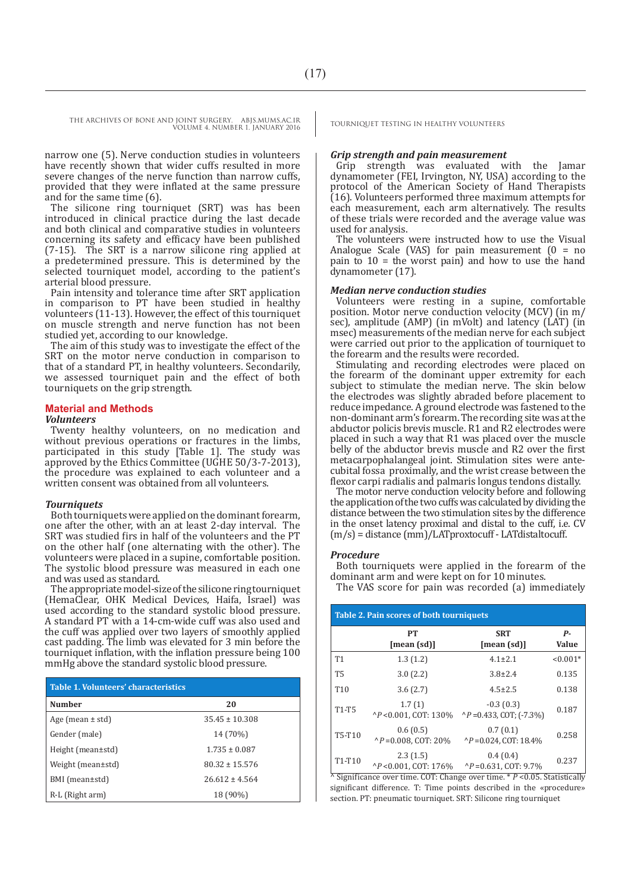narrow one (5). Nerve conduction studies in volunteers have recently shown that wider cuffs resulted in more severe changes of the nerve function than narrow cuffs, provided that they were inflated at the same pressure and for the same time (6).

The silicone ring tourniquet (SRT) was has been introduced in clinical practice during the last decade and both clinical and comparative studies in volunteers concerning its safety and efficacy have been published (7-15). The SRT is a narrow silicone ring applied at a predetermined pressure. This is determined by the selected tourniquet model, according to the patient's arterial blood pressure.

Pain intensity and tolerance time after SRT application in comparison to PT have been studied in healthy volunteers (11-13). However, the effect of this tourniquet on muscle strength and nerve function has not been studied yet, according to our knowledge.

The aim of this study was to investigate the effect of the SRT on the motor nerve conduction in comparison to that of a standard PT, in healthy volunteers. Secondarily, we assessed tourniquet pain and the effect of both tourniquets on the grip strength.

#### **Material and Methods**

#### *Volunteers*

Twenty healthy volunteers, on no medication and without previous operations or fractures in the limbs, participated in this study [Table 1]. The study was approved by the Ethics Committee (UGHE 50/3-7-2013), the procedure was explained to each volunteer and a written consent was obtained from all volunteers.

#### *Tourniquets*

Both tourniquets were applied on the dominant forearm, one after the other, with an at least 2-day interval. The SRT was studied firs in half of the volunteers and the PT on the other half (one alternating with the other). The volunteers were placed in a supine, comfortable position. The systolic blood pressure was measured in each one and was used as standard.

The appropriate model-size of the silicone ring tourniquet (HemaClear, OHK Medical Devices, Haifa, Israel) was used according to the standard systolic blood pressure. A standard PT with a 14-cm-wide cuff was also used and the cuff was applied over two layers of smoothly applied cast padding. The limb was elevated for 3 min before the tourniquet inflation, with the inflation pressure being 100 mmHg above the standard systolic blood pressure.

| Table 1. Volunteers' characteristics |                    |  |  |
|--------------------------------------|--------------------|--|--|
| Number                               | 20                 |  |  |
| Age (mean $\pm$ std)                 | $35.45 \pm 10.308$ |  |  |
| Gender (male)                        | 14 (70%)           |  |  |
| Height (mean±std)                    | $1.735 \pm 0.087$  |  |  |
| Weight (mean±std)                    | $80.32 \pm 15.576$ |  |  |
| BMI (mean±std)                       | $26.612 + 4.564$   |  |  |
| R-L (Right arm)                      | 18 (90%)           |  |  |

#### *Grip strength and pain measurement*

Grip strength was evaluated with the Jamar dynamometer (FEI, Irvington, NY, USA) according to the protocol of the American Society of Hand Therapists (16). Volunteers performed three maximum attempts for each measurement, each arm alternatively. The results of these trials were recorded and the average value was used for analysis.

The volunteers were instructed how to use the Visual Analogue Scale (VAS) for pain measurement ( $0 = no$ pain to  $10 =$  the worst pain) and how to use the hand dynamometer (17).

#### *Median nerve conduction studies*

Volunteers were resting in a supine, comfortable position. Motor nerve conduction velocity (MCV) (in m/ sec), amplitude (AMP) (in mVolt) and latency (LAT) (in msec) measurements of the median nerve for each subject were carried out prior to the application of tourniquet to the forearm and the results were recorded.

Stimulating and recording electrodes were placed on the forearm of the dominant upper extremity for each subject to stimulate the median nerve. The skin below the electrodes was slightly abraded before placement to reduce impedance. A ground electrode was fastened to the non-dominant arm's forearm. The recording site was at the abductor policis brevis muscle. R1 and R2 electrodes were placed in such a way that R1 was placed over the muscle belly of the abductor brevis muscle and R2 over the first metacarpophalangeal joint. Stimulation sites were antecubital fossa proximally, and the wrist crease between the flexor carpi radialis and palmaris longus tendons distally.

The motor nerve conduction velocity before and following the application of the two cuffs was calculated by dividing the distance between the two stimulation sites by the difference in the onset latency proximal and distal to the cuff, i.e. CV (m/s) = distance (mm)/LATproxtocuff - LATdistaltocuff.

#### *Procedure*

Both tourniquets were applied in the forearm of the dominant arm and were kept on for 10 minutes.

The VAS score for pain was recorded (a) immediately

| <b>Table 2. Pain scores of both tourniquets</b> |                                             |                                                     |                    |  |  |
|-------------------------------------------------|---------------------------------------------|-----------------------------------------------------|--------------------|--|--|
|                                                 | PT<br>[mean (sd)]                           | <b>SRT</b><br>[mean (sd)]                           | р.<br><b>Value</b> |  |  |
| <b>T1</b>                                       | 1.3(1.2)                                    | $4.1 \pm 2.1$                                       | $< 0.001*$         |  |  |
| <b>T5</b>                                       | 3.0(2.2)                                    | $3.8 \pm 2.4$                                       | 0.135              |  |  |
| T <sub>10</sub>                                 | 3.6(2.7)                                    | $4.5 \pm 2.5$                                       | 0.138              |  |  |
| <b>T1-T5</b>                                    | 1.7(1)<br>$^{\wedge}P$ < 0.001. COT: 130%   | $-0.3(0.3)$<br>$\binom{P}{P}$ = 0.433, COT; (-7.3%) | 0.187              |  |  |
| T5-T10                                          | 0.6(0.5)<br>$^{\wedge}P = 0.008$ , COT: 20% | 0.7(0.1)<br>$^{\wedge}P = 0.024$ , COT: 18.4%       | 0.258              |  |  |
| T <sub>1</sub> -T <sub>10</sub>                 | 2.3(1.5)<br>$^{\wedge}P$ < 0.001. COT: 176% | 0.4(0.4)<br>$^{\wedge}P = 0.631$ . COT: 9.7%        | 0.237              |  |  |

 $\overline{\wedge}$  Significance over time. COT: Change over time.  $\overline{\wedge}$  *P* <0.05. Statistically significant difference. T: Time points described in the «procedure» section. PT: pneumatic tourniquet. SRT: Silicone ring tourniquet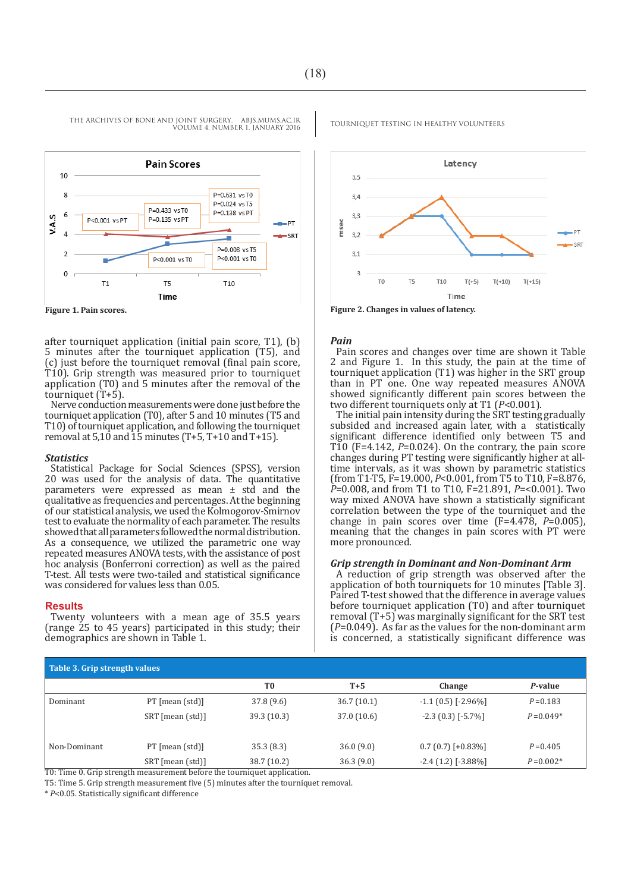

VOLUME 4. NUMBER 1. JANUARY 2016

after tourniquet application (initial pain score, T1), (b) 5 minutes after the tourniquet application (T5), and (c) just before the tourniquet removal (final pain score, T10). Grip strength was measured prior to tourniquet application (T0) and 5 minutes after the removal of the tourniquet (T+5).

Nerve conduction measurements were done just before the tourniquet application (T0), after 5 and 10 minutes (T5 and T10) of tourniquet application, and following the tourniquet removal at  $5,10$  and  $15$  minutes (T+5, T+10 and T+15).

#### *Statistics*

Statistical Package for Social Sciences (SPSS), version 20 was used for the analysis of data. The quantitative parameters were expressed as mean ± std and the qualitative as frequencies and percentages. At the beginning of our statistical analysis, we used the Kolmogorov-Smirnov test to evaluate the normality of each parameter. The results showed that all parameters followed the normal distribution. As a consequence, we utilized the parametric one way repeated measures ANOVA tests, with the assistance of post hoc analysis (Bonferroni correction) as well as the paired T-test. All tests were two-tailed and statistical significance was considered for values less than 0.05.

#### **Results**

Twenty volunteers with a mean age of 35.5 years (range 25 to 45 years) participated in this study; their demographics are shown in Table 1.



**Figure 1. Pain scores. Figure 2. Changes in values of latency.**

#### *Pain*

Pain scores and changes over time are shown it Table 2 and Figure 1. In this study, the pain at the time of tourniquet application (T1) was higher in the SRT group than in PT one. One way repeated measures ANOVA showed significantly different pain scores between the two different tourniquets only at T1 (*P*<0.001).

The initial pain intensity during the SRT testing gradually subsided and increased again later, with a statistically significant difference identified only between T5 and T10 (F=4.142, *P*=0.024). On the contrary, the pain score changes during PT testing were significantly higher at alltime intervals, as it was shown by parametric statistics (from T1-T5, F=19.000, *P*<0.001, from T5 to T10, F=8.876, *P*=0.008, and from T1 to T10, F=21.891, *P*=<0.001). Two way mixed ANOVA have shown a statistically significant correlation between the type of the tourniquet and the change in pain scores over time (F=4.478, *P*=0.005), meaning that the changes in pain scores with PT were more pronounced.

#### *Grip strength in Dominant and Non-Dominant Arm*

A reduction of grip strength was observed after the application of both tourniquets for 10 minutes [Table 3]. Paired T-test showed that the difference in average values before tourniquet application (T0) and after tourniquet removal  $(T+5)$  was marginally significant for the SRT test (*P*=0.049). As far as the values for the non-dominant arm is concerned, a statistically significant difference was

| Table 3. Grip strength values |                                                                          |                |            |                           |              |
|-------------------------------|--------------------------------------------------------------------------|----------------|------------|---------------------------|--------------|
|                               |                                                                          | T <sub>0</sub> | $T+5$      | Change                    | P-value      |
| Dominant                      | $PT$ [mean (std)]                                                        | 37.8 (9.6)     | 36.7(10.1) | $-1.1(0.5)$ [ $-2.96\%$ ] | $P = 0.183$  |
|                               | SRT [mean (std)]                                                         | 39.3 (10.3)    | 37.0(10.6) | $-2.3(0.3)$ [ $-5.7\%$ ]  | $P = 0.049*$ |
| Non-Dominant                  | $PT$ [mean (std)]                                                        | 35.3(8.3)      | 36.0(9.0)  | $0.7(0.7)$ [+0.83%]       | $P = 0.405$  |
|                               | SRT [mean (std)]                                                         | 38.7 (10.2)    | 36.3(9.0)  | $-2.4(1.2)$ [ $-3.88\%$ ] | $P = 0.002*$ |
|                               | TO: Time 0. Grip strength measurement before the tourniquet application. |                |            |                           |              |

T5: Time 5. Grip strength measurement five (5) minutes after the tourniquet removal.

\* *P*<0.05. Statistically significant difference

## THE ARCHIVES OF BONE AND JOINT SURGERY. ABJS.MUMS.AC.IR TOURNIQUET TESTING IN HEALTHY VOLUNTEERS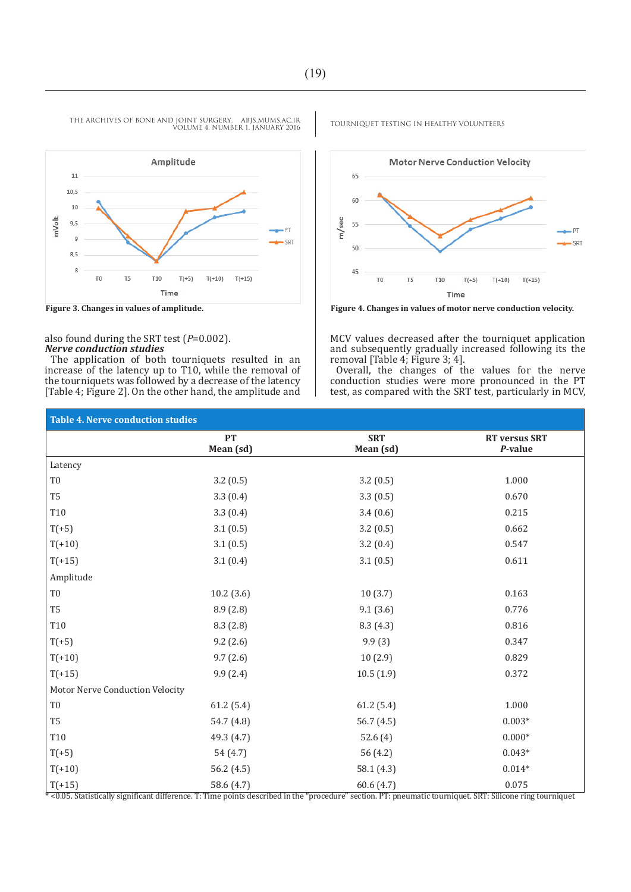

VOLUME 4. NUMBER 1. JANUARY 2016

also found during the SRT test (*P*=0.002). *Nerve conduction studies*

The application of both tourniquets resulted in an increase of the latency up to T10, while the removal of the tourniquets was followed by a decrease of the latency [Table 4; Figure 2]. On the other hand, the amplitude and



Time

MCV values decreased after the tourniquet application and subsequently gradually increased following its the removal [Table 4; Figure 3; 4].

Overall, the changes of the values for the nerve conduction studies were more pronounced in the PT test, as compared with the SRT test, particularly in MCV,

| <b>Table 4. Nerve conduction studies</b>                                                                                                                   |                        |                         |                                 |  |  |
|------------------------------------------------------------------------------------------------------------------------------------------------------------|------------------------|-------------------------|---------------------------------|--|--|
|                                                                                                                                                            | <b>PT</b><br>Mean (sd) | <b>SRT</b><br>Mean (sd) | <b>RT</b> versus SRT<br>P-value |  |  |
| Latency                                                                                                                                                    |                        |                         |                                 |  |  |
| T <sub>0</sub>                                                                                                                                             | 3.2(0.5)               | 3.2(0.5)                | 1.000                           |  |  |
| T <sub>5</sub>                                                                                                                                             | 3.3(0.4)               | 3.3(0.5)                | 0.670                           |  |  |
| T10                                                                                                                                                        | 3.3(0.4)               | 3.4(0.6)                | 0.215                           |  |  |
| $T(+5)$                                                                                                                                                    | 3.1(0.5)               | 3.2(0.5)                | 0.662                           |  |  |
| $T(+10)$                                                                                                                                                   | 3.1(0.5)               | 3.2(0.4)                | 0.547                           |  |  |
| $T(+15)$                                                                                                                                                   | 3.1(0.4)               | 3.1(0.5)                | 0.611                           |  |  |
| Amplitude                                                                                                                                                  |                        |                         |                                 |  |  |
| T <sub>0</sub>                                                                                                                                             | 10.2(3.6)              | 10(3.7)                 | 0.163                           |  |  |
| T <sub>5</sub>                                                                                                                                             | 8.9(2.8)               | 9.1(3.6)                | 0.776                           |  |  |
| T10                                                                                                                                                        | 8.3(2.8)               | 8.3(4.3)                | 0.816                           |  |  |
| $T(+5)$                                                                                                                                                    | 9.2(2.6)               | 9.9(3)                  | 0.347                           |  |  |
| $T(+10)$                                                                                                                                                   | 9.7(2.6)               | 10(2.9)                 | 0.829                           |  |  |
| $T(+15)$                                                                                                                                                   | 9.9(2.4)               | 10.5(1.9)               | 0.372                           |  |  |
| Motor Nerve Conduction Velocity                                                                                                                            |                        |                         |                                 |  |  |
| T <sub>0</sub>                                                                                                                                             | 61.2(5.4)              | 61.2(5.4)               | 1.000                           |  |  |
| T <sub>5</sub>                                                                                                                                             | 54.7 (4.8)             | 56.7(4.5)               | $0.003*$                        |  |  |
| T10                                                                                                                                                        | 49.3 (4.7)             | 52.6(4)                 | $0.000*$                        |  |  |
| $T(+5)$                                                                                                                                                    | 54 (4.7)               | 56 (4.2)                | $0.043*$                        |  |  |
| $T(+10)$                                                                                                                                                   | 56.2 $(4.5)$           | 58.1(4.3)               | $0.014*$                        |  |  |
| $T(+15)$                                                                                                                                                   | 58.6 $(4.7)$           | 60.6(4.7)               | 0.075                           |  |  |
| *<0.05. Statistically significant difference. T: Time points described in the "procedure" section. PT: pneumatic tourniquet. SRT: Silicone ring tourniquet |                        |                         |                                 |  |  |

THE ARCHIVES OF BONE AND JOINT SURGERY. ABJS.MUMS.AC.IR TOURNIQUET TESTING IN HEALTHY VOLUNTEERS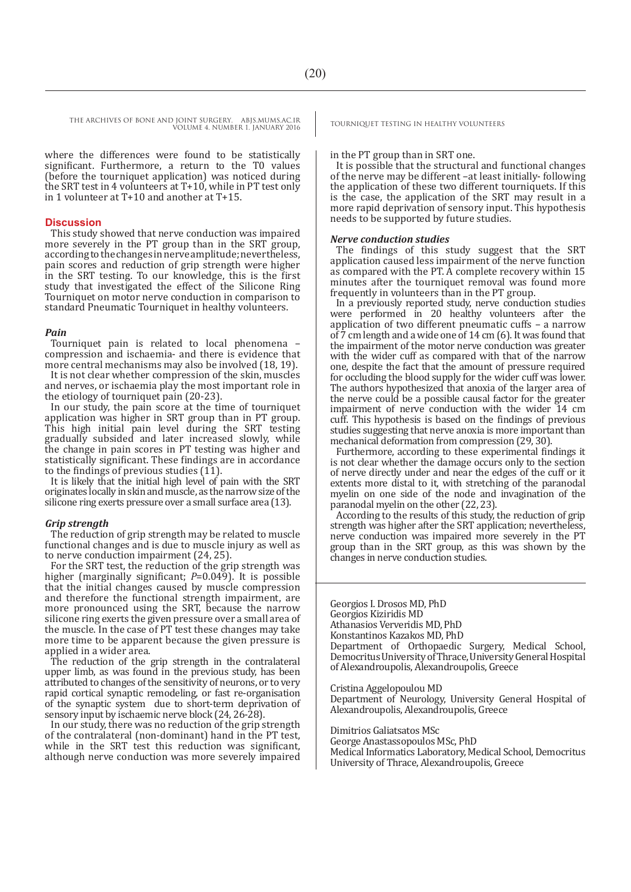where the differences were found to be statistically significant. Furthermore, a return to the T0 values (before the tourniquet application) was noticed during the SRT test in 4 volunteers at T+10, while in PT test only in 1 volunteer at T+10 and another at T+15.

#### **Discussion**

This study showed that nerve conduction was impaired more severely in the PT group than in the SRT group, according to the changes in nerve amplitude; nevertheless, pain scores and reduction of grip strength were higher in the SRT testing. To our knowledge, this is the first study that investigated the effect of the Silicone Ring Tourniquet on motor nerve conduction in comparison to standard Pneumatic Tourniquet in healthy volunteers.

#### *Pain*

Tourniquet pain is related to local phenomena – compression and ischaemia- and there is evidence that more central mechanisms may also be involved (18, 19).

It is not clear whether compression of the skin, muscles and nerves, or ischaemia play the most important role in the etiology of tourniquet pain (20-23).

In our study, the pain score at the time of tourniquet application was higher in SRT group than in PT group. This high initial pain level during the SRT testing gradually subsided and later increased slowly, while the change in pain scores in PT testing was higher and statistically significant. These findings are in accordance to the findings of previous studies (11).

It is likely that the initial high level of pain with the SRT originates locally in skin and muscle, as the narrow size of the silicone ring exerts pressure over a small surface area (13).

#### *Grip strength*

The reduction of grip strength may be related to muscle functional changes and is due to muscle injury as well as to nerve conduction impairment (24, 25).

For the SRT test, the reduction of the grip strength was higher (marginally significant; *P*=0.049). It is possible that the initial changes caused by muscle compression and therefore the functional strength impairment, are more pronounced using the SRT, because the narrow silicone ring exerts the given pressure over a small area of the muscle. In the case of PT test these changes may take more time to be apparent because the given pressure is applied in a wider area.

The reduction of the grip strength in the contralateral upper limb, as was found in the previous study, has been attributed to changes of the sensitivity of neurons, or to very rapid cortical synaptic remodeling, or fast re-organisation of the synaptic system due to short-term deprivation of sensory input by ischaemic nerve block (24, 26-28).

In our study, there was no reduction of the grip strength of the contralateral (non-dominant) hand in the PT test, while in the SRT test this reduction was significant, although nerve conduction was more severely impaired

#### in the PT group than in SRT one.

It is possible that the structural and functional changes of the nerve may be different –at least initially- following the application of these two different tourniquets. If this is the case, the application of the SRT may result in a more rapid deprivation of sensory input. This hypothesis needs to be supported by future studies.

#### *Nerve conduction studies*

The findings of this study suggest that the SRT application caused less impairment of the nerve function as compared with the PT. A complete recovery within 15 minutes after the tourniquet removal was found more frequently in volunteers than in the PT group.

In a previously reported study, nerve conduction studies were performed in 20 healthy volunteers after the application of two different pneumatic cuffs – a narrow of 7 cm length and a wide one of 14 cm (6). It was found that the impairment of the motor nerve conduction was greater with the wider cuff as compared with that of the narrow one, despite the fact that the amount of pressure required for occluding the blood supply for the wider cuff was lower. The authors hypothesized that anoxia of the larger area of the nerve could be a possible causal factor for the greater impairment of nerve conduction with the wider 14 cm cuff. This hypothesis is based on the findings of previous studies suggesting that nerve anoxia is more important than mechanical deformation from compression (29, 30).

Furthermore, according to these experimental findings it is not clear whether the damage occurs only to the section of nerve directly under and near the edges of the cuff or it extents more distal to it, with stretching of the paranodal myelin on one side of the node and invagination of the paranodal myelin on the other (22, 23).

According to the results of this study, the reduction of grip strength was higher after the SRT application; nevertheless, nerve conduction was impaired more severely in the PT group than in the SRT group, as this was shown by the changes in nerve conduction studies.

Georgios I. Drosos MD, PhD Georgios Kiziridis MD Athanasios Ververidis MD, PhD Konstantinos Kazakos MD, PhD Department of Orthopaedic Surgery, Medical School, Democritus University of Thrace, University General Hospital of Alexandroupolis, Alexandroupolis, Greece

Cristina Aggelopoulou MD Department of Neurology, University General Hospital of Alexandroupolis, Alexandroupolis, Greece

Dimitrios Galiatsatos MSc

George Anastassopoulos MSc, PhD Medical Informatics Laboratory, Medical School, Democritus University of Thrace, Alexandroupolis, Greece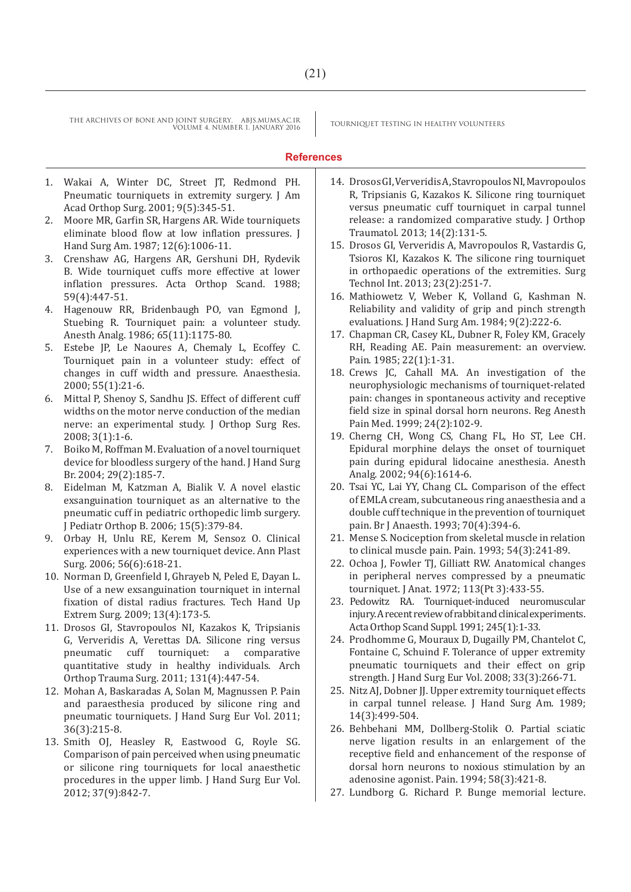## **References**

- 1. Wakai A, Winter DC, Street JT, Redmond PH. Pneumatic tourniquets in extremity surgery. J Am Acad Orthop Surg. 2001; 9(5):345-51.
- 2. Moore MR, Garfin SR, Hargens AR. Wide tourniquets eliminate blood flow at low inflation pressures. J Hand Surg Am. 1987; 12(6):1006-11.
- 3. Crenshaw AG, Hargens AR, Gershuni DH, Rydevik B. Wide tourniquet cuffs more effective at lower inflation pressures. Acta Orthop Scand. 1988; 59(4):447-51.
- 4. Hagenouw RR, Bridenbaugh PO, van Egmond J, Stuebing R. Tourniquet pain: a volunteer study. Anesth Analg. 1986; 65(11):1175-80.
- 5. Estebe JP, Le Naoures A, Chemaly L, Ecoffey C. Tourniquet pain in a volunteer study: effect of changes in cuff width and pressure. Anaesthesia. 2000; 55(1):21-6.
- 6. Mittal P, Shenoy S, Sandhu JS. Effect of different cuff widths on the motor nerve conduction of the median nerve: an experimental study. J Orthop Surg Res. 2008; 3(1):1-6.
- 7. Boiko M, Roffman M. Evaluation of a novel tourniquet device for bloodless surgery of the hand. J Hand Surg Br. 2004; 29(2):185-7.
- 8. Eidelman M, Katzman A, Bialik V. A novel elastic exsanguination tourniquet as an alternative to the pneumatic cuff in pediatric orthopedic limb surgery. J Pediatr Orthop B. 2006; 15(5):379-84.
- 9. Orbay H, Unlu RE, Kerem M, Sensoz O. Clinical experiences with a new tourniquet device. Ann Plast Surg. 2006; 56(6):618-21.
- 10. Norman D, Greenfield I, Ghrayeb N, Peled E, Dayan L. Use of a new exsanguination tourniquet in internal fixation of distal radius fractures. Tech Hand Up Extrem Surg. 2009; 13(4):173-5.
- 11. Drosos GI, Stavropoulos NI, Kazakos K, Tripsianis G, Ververidis A, Verettas DA. Silicone ring versus pneumatic cuff tourniquet: a comparative quantitative study in healthy individuals. Arch Orthop Trauma Surg. 2011; 131(4):447-54.
- 12. Mohan A, Baskaradas A, Solan M, Magnussen P. Pain and paraesthesia produced by silicone ring and pneumatic tourniquets. J Hand Surg Eur Vol. 2011; 36(3):215-8.
- 13. Smith OJ, Heasley R, Eastwood G, Royle SG. Comparison of pain perceived when using pneumatic or silicone ring tourniquets for local anaesthetic procedures in the upper limb. J Hand Surg Eur Vol. 2012; 37(9):842-7.
- 14. Drosos GI, Ververidis A, Stavropoulos NI, Mavropoulos R, Tripsianis G, Kazakos K. Silicone ring tourniquet versus pneumatic cuff tourniquet in carpal tunnel release: a randomized comparative study. J Orthop Traumatol. 2013; 14(2):131-5.
- 15. Drosos GI, Ververidis A, Mavropoulos R, Vastardis G, Tsioros KI, Kazakos K. The silicone ring tourniquet in orthopaedic operations of the extremities. Surg Technol Int. 2013; 23(2):251-7.
- 16. Mathiowetz V, Weber K, Volland G, Kashman N. Reliability and validity of grip and pinch strength evaluations. J Hand Surg Am. 1984; 9(2):222-6.
- 17. Chapman CR, Casey KL, Dubner R, Foley KM, Gracely RH, Reading AE. Pain measurement: an overview. Pain. 1985; 22(1):1-31.
- 18. Crews JC, Cahall MA. An investigation of the neurophysiologic mechanisms of tourniquet-related pain: changes in spontaneous activity and receptive field size in spinal dorsal horn neurons. Reg Anesth Pain Med. 1999; 24(2):102-9.
- 19. Cherng CH, Wong CS, Chang FL, Ho ST, Lee CH. Epidural morphine delays the onset of tourniquet pain during epidural lidocaine anesthesia. Anesth Analg. 2002; 94(6):1614-6.
- 20. Tsai YC, Lai YY, Chang CL. Comparison of the effect of EMLA cream, subcutaneous ring anaesthesia and a double cuff technique in the prevention of tourniquet pain. Br J Anaesth. 1993; 70(4):394-6.
- 21. Mense S. Nociception from skeletal muscle in relation to clinical muscle pain. Pain. 1993; 54(3):241-89.
- 22. Ochoa J, Fowler TJ, Gilliatt RW. Anatomical changes in peripheral nerves compressed by a pneumatic tourniquet. J Anat. 1972; 113(Pt 3):433-55.
- 23. Pedowitz RA. Tourniquet-induced neuromuscular injury. A recent review of rabbit and clinical experiments. Acta Orthop Scand Suppl. 1991; 245(1):1-33.
- 24. Prodhomme G, Mouraux D, Dugailly PM, Chantelot C, Fontaine C, Schuind F. Tolerance of upper extremity pneumatic tourniquets and their effect on grip strength. J Hand Surg Eur Vol. 2008; 33(3):266-71.
- 25. Nitz AJ, Dobner JJ. Upper extremity tourniquet effects in carpal tunnel release. J Hand Surg Am. 1989; 14(3):499-504.
- 26. Behbehani MM, Dollberg-Stolik O. Partial sciatic nerve ligation results in an enlargement of the receptive field and enhancement of the response of dorsal horn neurons to noxious stimulation by an adenosine agonist. Pain. 1994; 58(3):421-8.
- 27. Lundborg G. Richard P. Bunge memorial lecture.